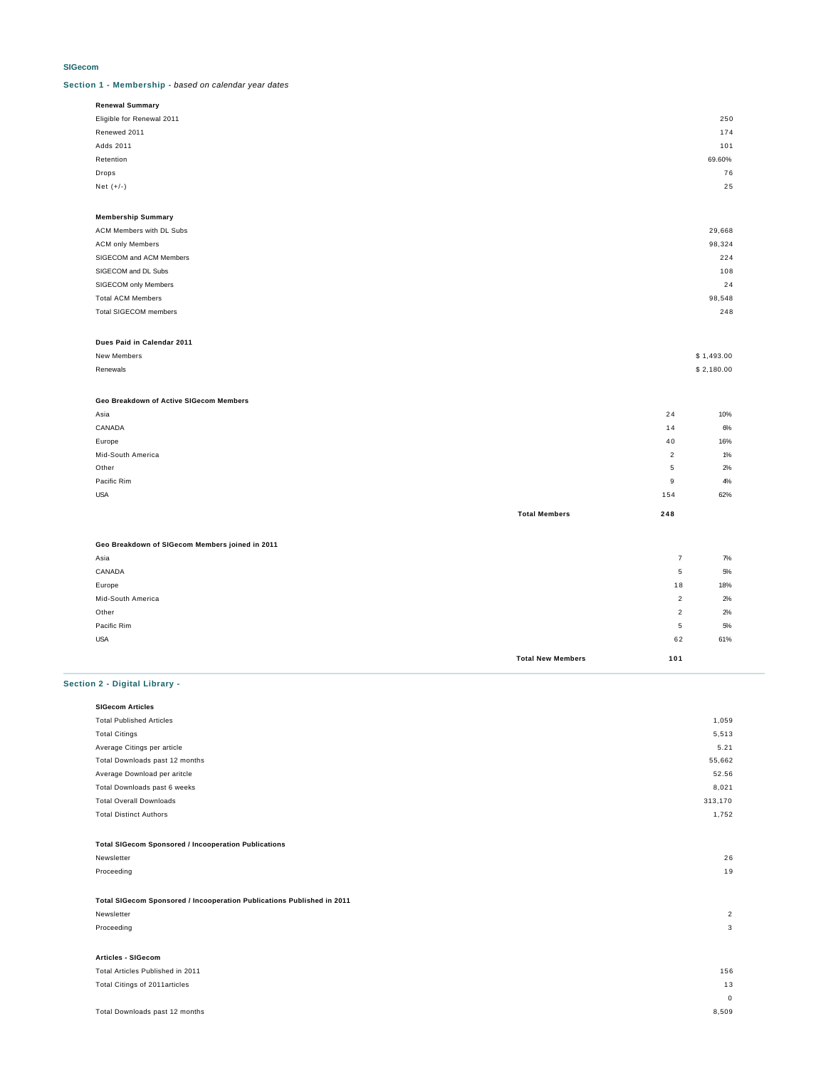#### **SIGecom**

**Section 1 - Membership -** based on calendar year dates

| <b>Renewal Summary</b>    |        |
|---------------------------|--------|
| Eligible for Renewal 2011 | 25C    |
| Renewed 2011              | 174    |
| Adds 2011                 | 101    |
| Retention                 | 69.60% |
| Drops                     | 76     |
| Net $(+/-)$               | 25     |
|                           |        |

| <b>Membership Summary</b>    |        |
|------------------------------|--------|
| ACM Members with DL Subs     | 29,668 |
| <b>ACM only Members</b>      | 98,324 |
| SIGECOM and ACM Members      | 224    |
| SIGECOM and DL Subs          | 108    |
| SIGECOM only Members         | 24     |
| <b>Total ACM Members</b>     | 98,548 |
| <b>Total SIGECOM members</b> | 248    |
|                              |        |

#### **Dues Paid in Calendar 2011**

| New Members   | \$1,493.00 |
|---------------|------------|
| Renewals<br>. | \$2,180.00 |

#### **Geo Breakdown of Active SIGecom Members**

|                   | <b>Total Members</b> | 248            |       |
|-------------------|----------------------|----------------|-------|
| <b>USA</b>        |                      | 154            | 62%   |
| Pacific Rim       |                      | 9              | 4%    |
| Other             |                      | 5              | 2%    |
| Mid-South America |                      | $\overline{2}$ | $1\%$ |
| Europe            |                      | 40             | 16%   |
| CANADA            |                      | 14             | 6%    |
| Asia              |                      | 24             | 10%   |

# **Geo Breakdown of SIGecom Members joined in 2011**

| Asia              |                          | $\overline{\phantom{a}}$ | 7%  |
|-------------------|--------------------------|--------------------------|-----|
| CANADA            |                          | 5                        | 5%  |
| Europe            |                          | 18                       | 18% |
| Mid-South America |                          | $\overline{2}$           | 2%  |
| Other             |                          | $\overline{2}$           | 2%  |
| Pacific Rim       |                          | 5                        | 5%  |
| <b>USA</b>        |                          | 62                       | 61% |
|                   | <b>Total New Members</b> | 101                      |     |

## **Section 2 - Digital Library -**

| <b>SIGecom Articles</b>                                                |                |
|------------------------------------------------------------------------|----------------|
| <b>Total Published Articles</b>                                        | 1,059          |
| <b>Total Citings</b>                                                   | 5,513          |
| Average Citings per article                                            | 5.21           |
| Total Downloads past 12 months                                         | 55,662         |
| Average Download per aritcle                                           | 52.56          |
| Total Downloads past 6 weeks                                           | 8,021          |
| <b>Total Overall Downloads</b>                                         | 313,170        |
| <b>Total Distinct Authors</b>                                          | 1,752          |
|                                                                        |                |
| <b>Total SIGecom Sponsored / Incooperation Publications</b>            |                |
| Newsletter                                                             | 26             |
| Proceeding                                                             | 19             |
|                                                                        |                |
| Total SIGecom Sponsored / Incooperation Publications Published in 2011 |                |
| Newsletter                                                             | $\overline{2}$ |
| Proceeding                                                             | 3              |
|                                                                        |                |
| <b>Articles - SIGecom</b>                                              |                |
| Total Articles Published in 2011                                       | 156            |
| Total Citings of 2011articles                                          | 13             |

0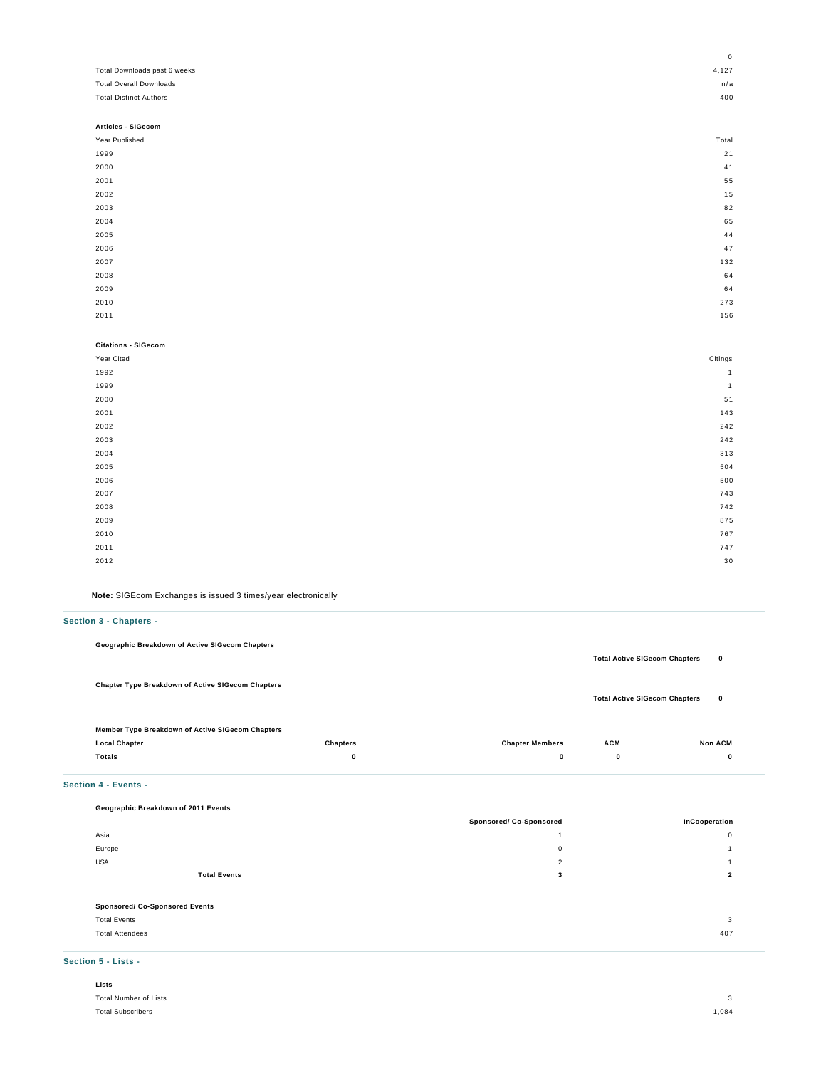|                                | 0              |
|--------------------------------|----------------|
| Total Downloads past 6 weeks   | 4,127          |
| <b>Total Overall Downloads</b> | n/a            |
| <b>Total Distinct Authors</b>  | 400            |
|                                |                |
| Articles - SIGecom             |                |
| Year Published                 | Total          |
| 1999                           | 21             |
| 2000                           | 41             |
| 2001                           | 55             |
| 2002                           | 15             |
| 2003                           | 82             |
| 2004                           | 65             |
| 2005                           | 44             |
| 2006                           | 47             |
| 2007                           | 132            |
| 2008                           | 64             |
| 2009                           | 64             |
| 2010                           | 273            |
| 2011                           | 156            |
|                                |                |
| <b>Citations - SIGecom</b>     |                |
| Year Cited                     | Citings        |
| 1992                           | $\mathbf{1}$   |
| 1999                           | $\overline{1}$ |

| 2000 | 51  |
|------|-----|
| 2001 | 143 |
| 2002 | 242 |
| 2003 | 242 |
| 2004 | 313 |
| 2005 | 504 |
| 2006 | 500 |
| 2007 | 743 |
| 2008 | 742 |
| 2009 | 875 |
| 2010 | 767 |
| 2011 | 747 |
| 2012 | 30  |
|      |     |

**Note:** SIGEcom Exchanges is issued 3 times/year electronically

## **Section 3 - Chapters -**

| Geographic Breakdown of Active SIGecom Chapters          | <b>Total Active SIGecom Chapters</b> | $\mathbf 0$ |
|----------------------------------------------------------|--------------------------------------|-------------|
| <b>Chapter Type Breakdown of Active SIGecom Chapters</b> | <b>Total Active SIGecom Chapters</b> | $\mathbf 0$ |

| Member Type Breakdown of Active SIGecom Chapters |                 |                        |            |                |
|--------------------------------------------------|-----------------|------------------------|------------|----------------|
| <b>Local Chapter</b>                             | <b>Chapters</b> | <b>Chapter Members</b> | <b>ACM</b> | <b>Non ACM</b> |
| <b>Totals</b>                                    |                 |                        |            |                |

### **Section 4 - Events -**

| Geographic Breakdown of 2011 Events   |                         |               |
|---------------------------------------|-------------------------|---------------|
|                                       | Sponsored/ Co-Sponsored | InCooperation |
| Asia                                  |                         | $\Omega$      |
| Europe                                | $\mathbf 0$             |               |
| <b>USA</b>                            | $\overline{2}$          |               |
| <b>Total Events</b>                   | 3                       | 2             |
|                                       |                         |               |
| <b>Sponsored/ Co-Sponsored Events</b> |                         |               |
| <b>Total Events</b>                   |                         | 3             |
| <b>Total Attendees</b>                |                         | 407           |
|                                       |                         |               |

## **Section 5 - Lists -**

| Lists                    |                   |
|--------------------------|-------------------|
| Total Number of Lists    | $\mathbf{\Omega}$ |
| <b>Total Subscribers</b> | 1,084             |
|                          |                   |